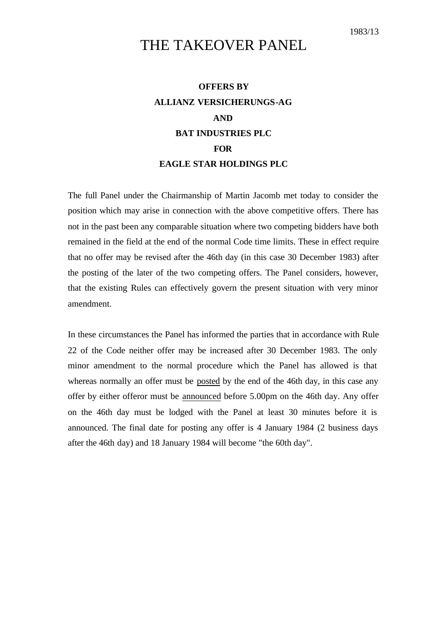## THE TAKEOVER PANEL

## **OFFERS BY ALLIANZ VERSICHERUNGS-AG AND BAT INDUSTRIES PLC FOR EAGLE STAR HOLDINGS PLC**

The full Panel under the Chairmanship of Martin Jacomb met today to consider the position which may arise in connection with the above competitive offers. There has not in the past been any comparable situation where two competing bidders have both remained in the field at the end of the normal Code time limits. These in effect require that no offer may be revised after the 46th day (in this case 30 December 1983) after the posting of the later of the two competing offers. The Panel considers, however, that the existing Rules can effectively govern the present situation with very minor amendment.

In these circumstances the Panel has informed the parties that in accordance with Rule 22 of the Code neither offer may be increased after 30 December 1983. The only minor amendment to the normal procedure which the Panel has allowed is that whereas normally an offer must be posted by the end of the 46th day, in this case any offer by either offeror must be announced before 5.00pm on the 46th day. Any offer on the 46th day must be lodged with the Panel at least 30 minutes before it is announced. The final date for posting any offer is 4 January 1984 (2 business days after the 46th day) and 18 January 1984 will become "the 60th day".